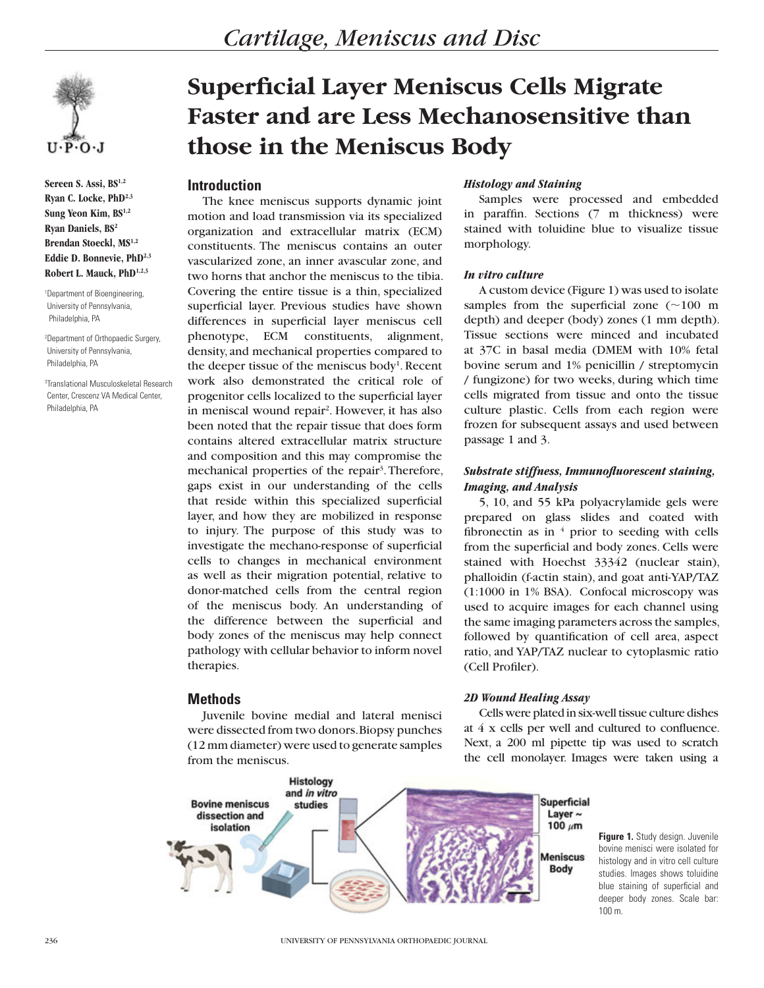

**Sereen S. Assi, BS1,2 Ryan C. Locke, PhD2,3 Sung Yeon Kim, BS1,2 Ryan Daniels, BS2 Brendan Stoeckl, MS1,2 Eddie D. Bonnevie, PhD2,3 Robert L. Mauck, PhD1,2,3**

1 Department of Bioengineering, University of Pennsylvania, Philadelphia, PA

2 Department of Orthopaedic Surgery, University of Pennsylvania, Philadelphia, PA

3 Translational Musculoskeletal Research Center, Crescenz VA Medical Center, Philadelphia, PA

# **Superficial Layer Meniscus Cells Migrate Faster and are Less Mechanosensitive than those in the Meniscus Body**

# **Introduction**

The knee meniscus supports dynamic joint motion and load transmission via its specialized organization and extracellular matrix (ECM) constituents. The meniscus contains an outer vascularized zone, an inner avascular zone, and two horns that anchor the meniscus to the tibia. Covering the entire tissue is a thin, specialized superficial layer. Previous studies have shown differences in superficial layer meniscus cell phenotype, ECM constituents, alignment, density, and mechanical properties compared to the deeper tissue of the meniscus body<sup>1</sup>. Recent work also demonstrated the critical role of progenitor cells localized to the superficial layer in meniscal wound repair<sup>2</sup>. However, it has also been noted that the repair tissue that does form contains altered extracellular matrix structure and composition and this may compromise the mechanical properties of the repair<sup>3</sup>. Therefore, gaps exist in our understanding of the cells that reside within this specialized superficial layer, and how they are mobilized in response to injury. The purpose of this study was to investigate the mechano-response of superficial cells to changes in mechanical environment as well as their migration potential, relative to donor-matched cells from the central region of the meniscus body. An understanding of the difference between the superficial and body zones of the meniscus may help connect pathology with cellular behavior to inform novel therapies.

# **Methods**

Juvenile bovine medial and lateral menisci were dissected from two donors. Biopsy punches (12 mm diameter) were used to generate samples from the meniscus.

## *Histology and Staining*

Samples were processed and embedded in paraffin. Sections (7 m thickness) were stained with toluidine blue to visualize tissue morphology.

# *In vitro culture*

A custom device (Figure 1) was used to isolate samples from the superficial zone  $(\sim 100 \text{ m})$ depth) and deeper (body) zones (1 mm depth). Tissue sections were minced and incubated at 37C in basal media (DMEM with 10% fetal bovine serum and 1% penicillin / streptomycin / fungizone) for two weeks, during which time cells migrated from tissue and onto the tissue culture plastic. Cells from each region were frozen for subsequent assays and used between passage 1 and 3.

# *Substrate stiffness, Immunofluorescent staining, Imaging, and Analysis*

5, 10, and 55 kPa polyacrylamide gels were prepared on glass slides and coated with fibronectin as in  $4$  prior to seeding with cells from the superficial and body zones. Cells were stained with Hoechst 33342 (nuclear stain), phalloidin (f-actin stain), and goat anti-YAP/TAZ (1:1000 in 1% BSA). Confocal microscopy was used to acquire images for each channel using the same imaging parameters across the samples, followed by quantification of cell area, aspect ratio, and YAP/TAZ nuclear to cytoplasmic ratio (Cell Profiler).

### *2D Wound Healing Assay*

Cells were plated in six-well tissue culture dishes at 4 x cells per well and cultured to confluence. Next, a 200 ml pipette tip was used to scratch the cell monolayer. Images were taken using a



**Figure 1.** Study design. Juvenile bovine menisci were isolated for histology and in vitro cell culture studies. Images shows toluidine blue staining of superficial and deeper body zones. Scale bar: 100 m.